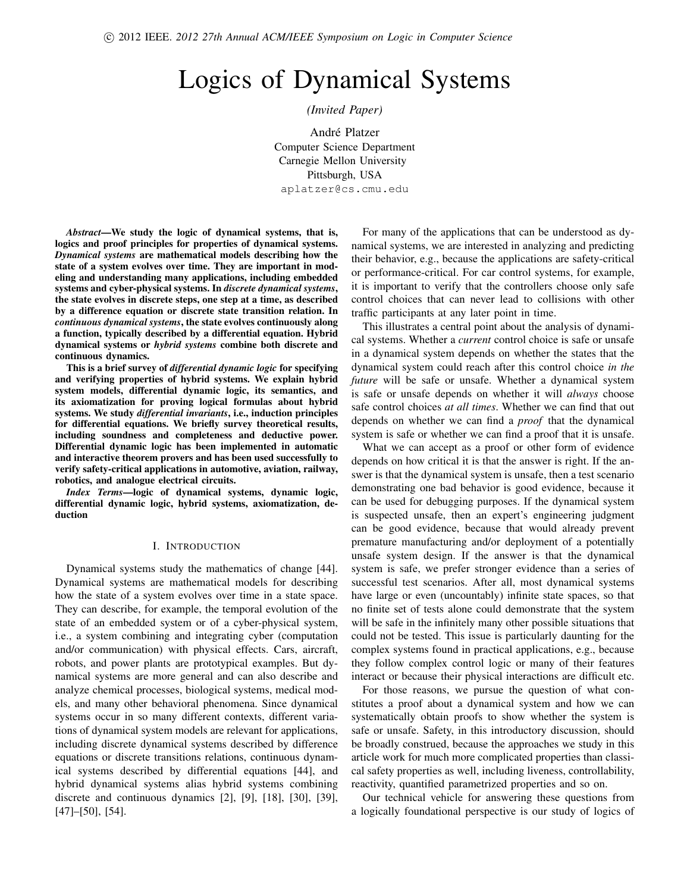# Logics of Dynamical Systems

## *(Invited Paper)*

André Platzer Computer Science Department Carnegie Mellon University Pittsburgh, USA aplatzer@cs.cmu.edu

*Abstract*—We study the logic of dynamical systems, that is, logics and proof principles for properties of dynamical systems. *Dynamical systems* are mathematical models describing how the state of a system evolves over time. They are important in modeling and understanding many applications, including embedded systems and cyber-physical systems. In *discrete dynamical systems*, the state evolves in discrete steps, one step at a time, as described by a difference equation or discrete state transition relation. In *continuous dynamical systems*, the state evolves continuously along a function, typically described by a differential equation. Hybrid dynamical systems or *hybrid systems* combine both discrete and continuous dynamics.

This is a brief survey of *differential dynamic logic* for specifying and verifying properties of hybrid systems. We explain hybrid system models, differential dynamic logic, its semantics, and its axiomatization for proving logical formulas about hybrid systems. We study *differential invariants*, i.e., induction principles for differential equations. We briefly survey theoretical results, including soundness and completeness and deductive power. Differential dynamic logic has been implemented in automatic and interactive theorem provers and has been used successfully to verify safety-critical applications in automotive, aviation, railway, robotics, and analogue electrical circuits.

*Index Terms*—logic of dynamical systems, dynamic logic, differential dynamic logic, hybrid systems, axiomatization, deduction

#### I. INTRODUCTION

Dynamical systems study the mathematics of change [44]. Dynamical systems are mathematical models for describing how the state of a system evolves over time in a state space. They can describe, for example, the temporal evolution of the state of an embedded system or of a cyber-physical system, i.e., a system combining and integrating cyber (computation and/or communication) with physical effects. Cars, aircraft, robots, and power plants are prototypical examples. But dynamical systems are more general and can also describe and analyze chemical processes, biological systems, medical models, and many other behavioral phenomena. Since dynamical systems occur in so many different contexts, different variations of dynamical system models are relevant for applications, including discrete dynamical systems described by difference equations or discrete transitions relations, continuous dynamical systems described by differential equations [44], and hybrid dynamical systems alias hybrid systems combining discrete and continuous dynamics [2], [9], [18], [30], [39], [47]–[50], [54].

For many of the applications that can be understood as dynamical systems, we are interested in analyzing and predicting their behavior, e.g., because the applications are safety-critical or performance-critical. For car control systems, for example, it is important to verify that the controllers choose only safe control choices that can never lead to collisions with other traffic participants at any later point in time.

This illustrates a central point about the analysis of dynamical systems. Whether a *current* control choice is safe or unsafe in a dynamical system depends on whether the states that the dynamical system could reach after this control choice *in the future* will be safe or unsafe. Whether a dynamical system is safe or unsafe depends on whether it will *always* choose safe control choices *at all times*. Whether we can find that out depends on whether we can find a *proof* that the dynamical system is safe or whether we can find a proof that it is unsafe.

What we can accept as a proof or other form of evidence depends on how critical it is that the answer is right. If the answer is that the dynamical system is unsafe, then a test scenario demonstrating one bad behavior is good evidence, because it can be used for debugging purposes. If the dynamical system is suspected unsafe, then an expert's engineering judgment can be good evidence, because that would already prevent premature manufacturing and/or deployment of a potentially unsafe system design. If the answer is that the dynamical system is safe, we prefer stronger evidence than a series of successful test scenarios. After all, most dynamical systems have large or even (uncountably) infinite state spaces, so that no finite set of tests alone could demonstrate that the system will be safe in the infinitely many other possible situations that could not be tested. This issue is particularly daunting for the complex systems found in practical applications, e.g., because they follow complex control logic or many of their features interact or because their physical interactions are difficult etc.

For those reasons, we pursue the question of what constitutes a proof about a dynamical system and how we can systematically obtain proofs to show whether the system is safe or unsafe. Safety, in this introductory discussion, should be broadly construed, because the approaches we study in this article work for much more complicated properties than classical safety properties as well, including liveness, controllability, reactivity, quantified parametrized properties and so on.

Our technical vehicle for answering these questions from a logically foundational perspective is our study of logics of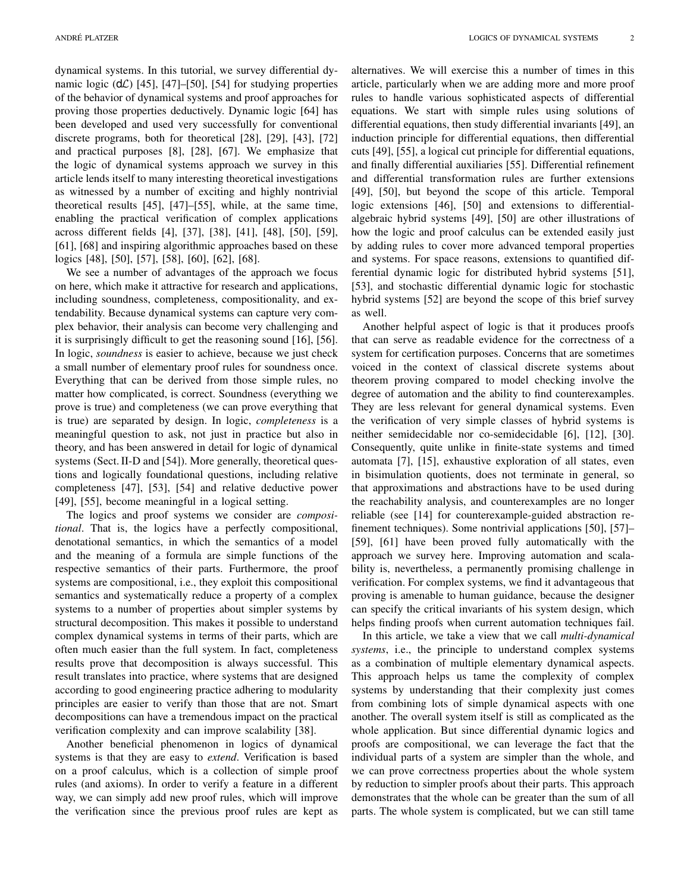dynamical systems. In this tutorial, we survey differential dynamic logic  $(d\mathcal{L})$  [45], [47]–[50], [54] for studying properties of the behavior of dynamical systems and proof approaches for proving those properties deductively. Dynamic logic [64] has been developed and used very successfully for conventional discrete programs, both for theoretical [28], [29], [43], [72] and practical purposes [8], [28], [67]. We emphasize that the logic of dynamical systems approach we survey in this article lends itself to many interesting theoretical investigations as witnessed by a number of exciting and highly nontrivial theoretical results [45], [47]–[55], while, at the same time, enabling the practical verification of complex applications across different fields [4], [37], [38], [41], [48], [50], [59], [61], [68] and inspiring algorithmic approaches based on these logics [48], [50], [57], [58], [60], [62], [68].

We see a number of advantages of the approach we focus on here, which make it attractive for research and applications, including soundness, completeness, compositionality, and extendability. Because dynamical systems can capture very complex behavior, their analysis can become very challenging and it is surprisingly difficult to get the reasoning sound [16], [56]. In logic, *soundness* is easier to achieve, because we just check a small number of elementary proof rules for soundness once. Everything that can be derived from those simple rules, no matter how complicated, is correct. Soundness (everything we prove is true) and completeness (we can prove everything that is true) are separated by design. In logic, *completeness* is a meaningful question to ask, not just in practice but also in theory, and has been answered in detail for logic of dynamical systems (Sect. II-D and [54]). More generally, theoretical questions and logically foundational questions, including relative completeness [47], [53], [54] and relative deductive power [49], [55], become meaningful in a logical setting.

The logics and proof systems we consider are *compositional*. That is, the logics have a perfectly compositional, denotational semantics, in which the semantics of a model and the meaning of a formula are simple functions of the respective semantics of their parts. Furthermore, the proof systems are compositional, i.e., they exploit this compositional semantics and systematically reduce a property of a complex systems to a number of properties about simpler systems by structural decomposition. This makes it possible to understand complex dynamical systems in terms of their parts, which are often much easier than the full system. In fact, completeness results prove that decomposition is always successful. This result translates into practice, where systems that are designed according to good engineering practice adhering to modularity principles are easier to verify than those that are not. Smart decompositions can have a tremendous impact on the practical verification complexity and can improve scalability [38].

Another beneficial phenomenon in logics of dynamical systems is that they are easy to *extend*. Verification is based on a proof calculus, which is a collection of simple proof rules (and axioms). In order to verify a feature in a different way, we can simply add new proof rules, which will improve the verification since the previous proof rules are kept as alternatives. We will exercise this a number of times in this article, particularly when we are adding more and more proof rules to handle various sophisticated aspects of differential equations. We start with simple rules using solutions of differential equations, then study differential invariants [49], an induction principle for differential equations, then differential cuts [49], [55], a logical cut principle for differential equations, and finally differential auxiliaries [55]. Differential refinement and differential transformation rules are further extensions [49], [50], but beyond the scope of this article. Temporal logic extensions [46], [50] and extensions to differentialalgebraic hybrid systems [49], [50] are other illustrations of how the logic and proof calculus can be extended easily just by adding rules to cover more advanced temporal properties and systems. For space reasons, extensions to quantified differential dynamic logic for distributed hybrid systems [51], [53], and stochastic differential dynamic logic for stochastic hybrid systems [52] are beyond the scope of this brief survey as well.

Another helpful aspect of logic is that it produces proofs that can serve as readable evidence for the correctness of a system for certification purposes. Concerns that are sometimes voiced in the context of classical discrete systems about theorem proving compared to model checking involve the degree of automation and the ability to find counterexamples. They are less relevant for general dynamical systems. Even the verification of very simple classes of hybrid systems is neither semidecidable nor co-semidecidable [6], [12], [30]. Consequently, quite unlike in finite-state systems and timed automata [7], [15], exhaustive exploration of all states, even in bisimulation quotients, does not terminate in general, so that approximations and abstractions have to be used during the reachability analysis, and counterexamples are no longer reliable (see [14] for counterexample-guided abstraction refinement techniques). Some nontrivial applications [50], [57]– [59], [61] have been proved fully automatically with the approach we survey here. Improving automation and scalability is, nevertheless, a permanently promising challenge in verification. For complex systems, we find it advantageous that proving is amenable to human guidance, because the designer can specify the critical invariants of his system design, which helps finding proofs when current automation techniques fail.

In this article, we take a view that we call *multi-dynamical systems*, i.e., the principle to understand complex systems as a combination of multiple elementary dynamical aspects. This approach helps us tame the complexity of complex systems by understanding that their complexity just comes from combining lots of simple dynamical aspects with one another. The overall system itself is still as complicated as the whole application. But since differential dynamic logics and proofs are compositional, we can leverage the fact that the individual parts of a system are simpler than the whole, and we can prove correctness properties about the whole system by reduction to simpler proofs about their parts. This approach demonstrates that the whole can be greater than the sum of all parts. The whole system is complicated, but we can still tame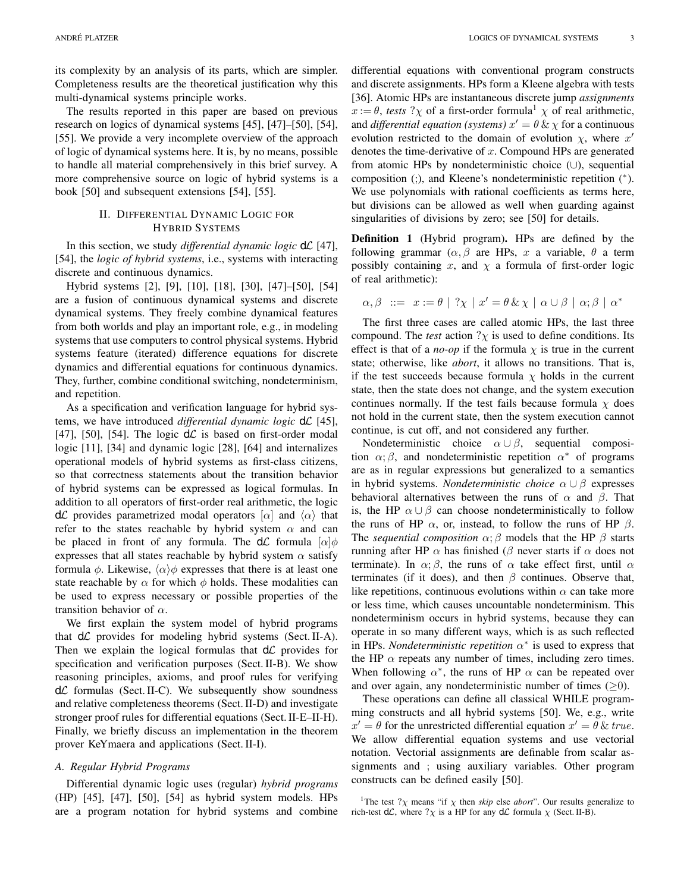its complexity by an analysis of its parts, which are simpler. Completeness results are the theoretical justification why this multi-dynamical systems principle works.

The results reported in this paper are based on previous research on logics of dynamical systems [45], [47]–[50], [54], [55]. We provide a very incomplete overview of the approach of logic of dynamical systems here. It is, by no means, possible to handle all material comprehensively in this brief survey. A more comprehensive source on logic of hybrid systems is a book [50] and subsequent extensions [54], [55].

## II. DIFFERENTIAL DYNAMIC LOGIC FOR HYBRID SYSTEMS

In this section, we study *differential dynamic logic*  $d\mathcal{L}$  [47], [54], the *logic of hybrid systems*, i.e., systems with interacting discrete and continuous dynamics.

Hybrid systems [2], [9], [10], [18], [30], [47]–[50], [54] are a fusion of continuous dynamical systems and discrete dynamical systems. They freely combine dynamical features from both worlds and play an important role, e.g., in modeling systems that use computers to control physical systems. Hybrid systems feature (iterated) difference equations for discrete dynamics and differential equations for continuous dynamics. They, further, combine conditional switching, nondeterminism, and repetition.

As a specification and verification language for hybrid systems, we have introduced *differential dynamic logic*  $d\mathcal{L}$  [45], [47], [50], [54]. The logic  $d\mathcal{L}$  is based on first-order modal logic [11], [34] and dynamic logic [28], [64] and internalizes operational models of hybrid systems as first-class citizens, so that correctness statements about the transition behavior of hybrid systems can be expressed as logical formulas. In addition to all operators of first-order real arithmetic, the logic dC provides parametrized modal operators  $[\alpha]$  and  $\langle \alpha \rangle$  that refer to the states reachable by hybrid system  $\alpha$  and can be placed in front of any formula. The  $d\mathcal{L}$  formula  $[\alpha]\phi$ expresses that all states reachable by hybrid system  $\alpha$  satisfy formula  $\phi$ . Likewise,  $\langle \alpha \rangle \phi$  expresses that there is at least one state reachable by  $\alpha$  for which  $\phi$  holds. These modalities can be used to express necessary or possible properties of the transition behavior of  $\alpha$ .

We first explain the system model of hybrid programs that  $d\mathcal{L}$  provides for modeling hybrid systems (Sect. II-A). Then we explain the logical formulas that  $d\mathcal{L}$  provides for specification and verification purposes (Sect. II-B). We show reasoning principles, axioms, and proof rules for verifying  $d\mathcal{L}$  formulas (Sect. II-C). We subsequently show soundness and relative completeness theorems (Sect. II-D) and investigate stronger proof rules for differential equations (Sect. II-E–II-H). Finally, we briefly discuss an implementation in the theorem prover KeYmaera and applications (Sect. II-I).

## *A. Regular Hybrid Programs*

Differential dynamic logic uses (regular) *hybrid programs* (HP) [45], [47], [50], [54] as hybrid system models. HPs are a program notation for hybrid systems and combine differential equations with conventional program constructs and discrete assignments. HPs form a Kleene algebra with tests [36]. Atomic HPs are instantaneous discrete jump *assignments*  $x := \theta$ , *tests* ? $\chi$  of a first-order formula<sup>1</sup>  $\chi$  of real arithmetic, and *differential equation (systems)*  $x' = \theta \& \chi$  for a continuous evolution restricted to the domain of evolution  $\chi$ , where  $x'$ denotes the time-derivative of  $x$ . Compound HPs are generated from atomic HPs by nondeterministic choice (∪), sequential composition (;), and Kleene's nondeterministic repetition (<sup>∗</sup> ). We use polynomials with rational coefficients as terms here, but divisions can be allowed as well when guarding against singularities of divisions by zero; see [50] for details.

Definition 1 (Hybrid program). HPs are defined by the following grammar ( $\alpha$ ,  $\beta$  are HPs, x a variable,  $\theta$  a term possibly containing x, and  $\chi$  a formula of first-order logic of real arithmetic):

$$
\alpha, \beta \ ::= x := \theta \mid ?\chi \mid x' = \theta \& \chi \mid \alpha \cup \beta \mid \alpha; \beta \mid \alpha^*
$$

The first three cases are called atomic HPs, the last three compound. The *test* action  $? \chi$  is used to define conditions. Its effect is that of a *no-op* if the formula  $\chi$  is true in the current state; otherwise, like *abort*, it allows no transitions. That is, if the test succeeds because formula  $\chi$  holds in the current state, then the state does not change, and the system execution continues normally. If the test fails because formula  $\chi$  does not hold in the current state, then the system execution cannot continue, is cut off, and not considered any further.

Nondeterministic choice  $\alpha \cup \beta$ , sequential composition  $\alpha$ ;  $\beta$ , and nondeterministic repetition  $\alpha^*$  of programs are as in regular expressions but generalized to a semantics in hybrid systems. *Nondeterministic choice* α ∪ β expresses behavioral alternatives between the runs of  $\alpha$  and  $\beta$ . That is, the HP  $\alpha \cup \beta$  can choose nondeterministically to follow the runs of HP  $\alpha$ , or, instead, to follow the runs of HP  $\beta$ . The *sequential composition*  $\alpha$ ;  $\beta$  models that the HP  $\beta$  starts running after HP  $\alpha$  has finished ( $\beta$  never starts if  $\alpha$  does not terminate). In  $\alpha$ ;  $\beta$ , the runs of  $\alpha$  take effect first, until  $\alpha$ terminates (if it does), and then  $\beta$  continues. Observe that, like repetitions, continuous evolutions within  $\alpha$  can take more or less time, which causes uncountable nondeterminism. This nondeterminism occurs in hybrid systems, because they can operate in so many different ways, which is as such reflected in HPs. *Nondeterministic repetition*  $\alpha^*$  is used to express that the HP  $\alpha$  repeats any number of times, including zero times. When following  $\alpha^*$ , the runs of HP  $\alpha$  can be repeated over and over again, any nondeterministic number of times  $(>0)$ .

These operations can define all classical WHILE programming constructs and all hybrid systems [50]. We, e.g., write  $x' = \theta$  for the unrestricted differential equation  $x' = \theta \& true$ . We allow differential equation systems and use vectorial notation. Vectorial assignments are definable from scalar assignments and ; using auxiliary variables. Other program constructs can be defined easily [50].

<sup>1</sup>The test ? $\chi$  means "if  $\chi$  then *skip* else *abort*". Our results generalize to rich-test d $\mathcal{L}$ , where  $? \chi$  is a HP for any d $\mathcal{L}$  formula  $\chi$  (Sect. II-B).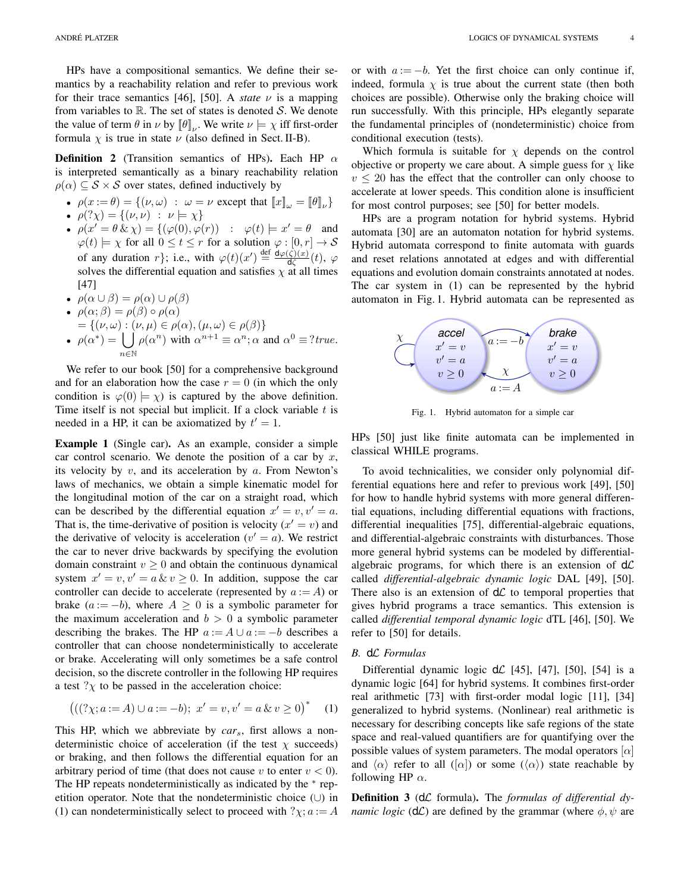HPs have a compositional semantics. We define their semantics by a reachability relation and refer to previous work for their trace semantics [46], [50]. A *state*  $\nu$  is a mapping from variables to  $\mathbb R$ . The set of states is denoted  $S$ . We denote the value of term  $\theta$  in  $\nu$  by  $[\![\theta]\!]_{\nu}$ . We write  $\nu \models \chi$  iff first-order formula  $\chi$  is true in state  $\nu$  (also defined in Sect. II-B).

**Definition 2** (Transition semantics of HPs). Each HP  $\alpha$ is interpreted semantically as a binary reachability relation  $\rho(\alpha) \subseteq S \times S$  over states, defined inductively by

- $\rho(x := \theta) = \{ (\nu, \omega) : \omega = \nu \text{ except that } [x]_{\omega} = [\theta]_{\nu} \}$
- $\rho$  $(\gamma \chi) = \{ (\nu, \nu) : \nu \models \chi \}$
- $\rho(x' = \theta \& \chi) = \{(\varphi(0), \varphi(r)) : \varphi(t) \models x' = \theta \text{ and }$  $\varphi(t) \models \chi$  for all  $0 \le t \le r$  for a solution  $\varphi : [0, r] \rightarrow S$ of any duration r}; i.e., with  $\varphi(t)(x') \stackrel{\text{def}}{=} \frac{d\varphi(\zeta)(x)}{d\zeta}$  $\frac{\zeta\left(\zeta\right)\left(\left.x\right)}{\mathsf{d}\zeta}(t),\;\varphi$ solves the differential equation and satisfies  $\chi$  at all times [47]
- $\rho(\alpha \cup \beta) = \rho(\alpha) \cup \rho(\beta)$
- $\rho(\alpha;\beta) = \rho(\beta) \circ \rho(\alpha)$
- $=\{(\nu,\omega): (\nu,\mu)\in \rho(\alpha), (\mu,\omega)\in \rho(\beta)\}\$
- $\rho(\alpha^*) = \bigcup \rho(\alpha^n)$  with  $\alpha^{n+1} \equiv \alpha^n; \alpha$  and  $\alpha^0 \equiv ?true$ . <sup>n</sup>∈<sup>N</sup>

We refer to our book [50] for a comprehensive background and for an elaboration how the case  $r = 0$  (in which the only condition is  $\varphi(0) \models \chi$  is captured by the above definition. Time itself is not special but implicit. If a clock variable  $t$  is needed in a HP, it can be axiomatized by  $t' = 1$ .

Example 1 (Single car). As an example, consider a simple car control scenario. We denote the position of a car by  $x$ , its velocity by  $v$ , and its acceleration by  $a$ . From Newton's laws of mechanics, we obtain a simple kinematic model for the longitudinal motion of the car on a straight road, which can be described by the differential equation  $x' = v, v' = a$ . That is, the time-derivative of position is velocity  $(x' = v)$  and the derivative of velocity is acceleration ( $v' = a$ ). We restrict the car to never drive backwards by specifying the evolution domain constraint  $v \geq 0$  and obtain the continuous dynamical system  $x' = v, v' = a \& v \ge 0$ . In addition, suppose the car controller can decide to accelerate (represented by  $a := A$ ) or brake  $(a := -b)$ , where  $A \geq 0$  is a symbolic parameter for the maximum acceleration and  $b > 0$  a symbolic parameter describing the brakes. The HP  $a := A \cup a := -b$  describes a controller that can choose nondeterministically to accelerate or brake. Accelerating will only sometimes be a safe control decision, so the discrete controller in the following HP requires a test  $?x$  to be passed in the acceleration choice:

$$
(((? \chi; a := A) \cup a := -b); \ x' = v, v' = a \& v \ge 0)^* \tag{1}
$$

This HP, which we abbreviate by *car*s, first allows a nondeterministic choice of acceleration (if the test  $\chi$  succeeds) or braking, and then follows the differential equation for an arbitrary period of time (that does not cause v to enter  $v < 0$ ). The HP repeats nondeterministically as indicated by the <sup>∗</sup> repetition operator. Note that the nondeterministic choice (∪) in (1) can nondeterministically select to proceed with  $?x; a := A$  or with  $a := -b$ . Yet the first choice can only continue if, indeed, formula  $\chi$  is true about the current state (then both choices are possible). Otherwise only the braking choice will run successfully. With this principle, HPs elegantly separate the fundamental principles of (nondeterministic) choice from conditional execution (tests).

Which formula is suitable for  $\chi$  depends on the control objective or property we care about. A simple guess for  $\chi$  like  $v \leq 20$  has the effect that the controller can only choose to accelerate at lower speeds. This condition alone is insufficient for most control purposes; see [50] for better models.

HPs are a program notation for hybrid systems. Hybrid automata [30] are an automaton notation for hybrid systems. Hybrid automata correspond to finite automata with guards and reset relations annotated at edges and with differential equations and evolution domain constraints annotated at nodes. The car system in (1) can be represented by the hybrid automaton in Fig. 1. Hybrid automata can be represented as



Fig. 1. Hybrid automaton for a simple car

HPs [50] just like finite automata can be implemented in classical WHILE programs.

To avoid technicalities, we consider only polynomial differential equations here and refer to previous work [49], [50] for how to handle hybrid systems with more general differential equations, including differential equations with fractions, differential inequalities [75], differential-algebraic equations, and differential-algebraic constraints with disturbances. Those more general hybrid systems can be modeled by differentialalgebraic programs, for which there is an extension of  $d\mathcal{L}$ called *differential-algebraic dynamic logic* DAL [49], [50]. There also is an extension of  $d\mathcal{L}$  to temporal properties that gives hybrid programs a trace semantics. This extension is called *differential temporal dynamic logic* dTL [46], [50]. We refer to [50] for details.

## *B.* dL *Formulas*

Differential dynamic logic  $d\mathcal{L}$  [45], [47], [50], [54] is a dynamic logic [64] for hybrid systems. It combines first-order real arithmetic [73] with first-order modal logic [11], [34] generalized to hybrid systems. (Nonlinear) real arithmetic is necessary for describing concepts like safe regions of the state space and real-valued quantifiers are for quantifying over the possible values of system parameters. The modal operators  $[\alpha]$ and  $\langle \alpha \rangle$  refer to all ([ $\alpha$ ]) or some ( $\langle \alpha \rangle$ ) state reachable by following HP  $\alpha$ .

Definition 3 (dL formula). The *formulas of differential dynamic logic* ( $d\mathcal{L}$ ) are defined by the grammar (where  $\phi$ ,  $\psi$  are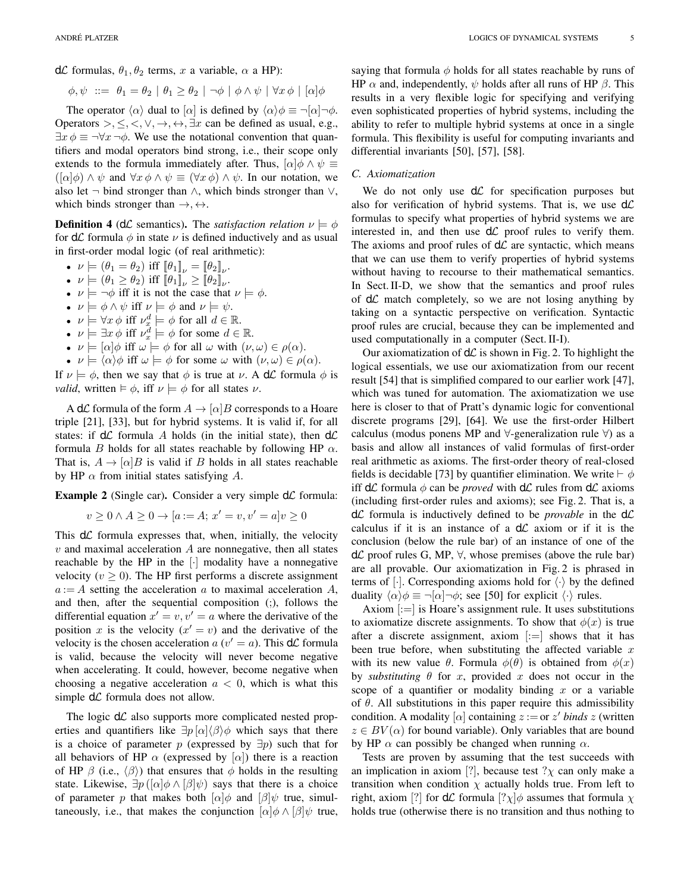d $\mathcal L$  formulas,  $\theta_1, \theta_2$  terms, x a variable,  $\alpha$  a HP):

$$
\phi, \psi \ ::= \ \theta_1 = \theta_2 \mid \theta_1 \ge \theta_2 \mid \neg \phi \mid \phi \land \psi \mid \forall x \, \phi \mid [\alpha] \phi
$$

The operator  $\langle \alpha \rangle$  dual to  $\langle \alpha |$  is defined by  $\langle \alpha | \phi \rangle = -\langle \alpha | \neg \phi$ . Operators >,  $\leq, \leq, \vee, \rightarrow, \leftrightarrow, \exists x$  can be defined as usual, e.g.,  $\exists x \phi \equiv \neg \forall x \neg \phi$ . We use the notational convention that quantifiers and modal operators bind strong, i.e., their scope only extends to the formula immediately after. Thus,  $[\alpha]\phi \wedge \psi \equiv$  $(\alpha|\phi) \wedge \psi$  and  $\forall x \phi \wedge \psi \equiv (\forall x \phi) \wedge \psi$ . In our notation, we also let  $\neg$  bind stronger than  $\land$ , which binds stronger than  $\lor$ , which binds stronger than  $\rightarrow, \leftrightarrow$ .

**Definition 4** (d*L* semantics). The *satisfaction relation*  $\nu \models \phi$ for  $d\mathcal{L}$  formula  $\phi$  in state  $\nu$  is defined inductively and as usual in first-order modal logic (of real arithmetic):

- $\nu \models (\theta_1 = \theta_2) \text{ iff } [\![\theta_1]\!]_{\nu} = [\![\theta_2]\!]_{\nu}.$
- $\nu \models (\theta_1 \geq \theta_2)$  iff  $[\![\theta_1]\!]_{\nu} \geq [\![\theta_2]\!]_{\nu}$ .
- $\nu \models \neg \phi$  iff it is not the case that  $\nu \models \phi$ .
- $\nu \models \phi \land \psi$  iff  $\nu \models \phi$  and  $\nu \models \psi$ .
- $\nu \models \forall x \, \phi \text{ iff } \nu_x^d \models \phi \text{ for all } d \in \mathbb{R}.$
- $\nu \models \exists x \, \phi \text{ iff } \nu_x^d \models \phi \text{ for some } d \in \mathbb{R}.$
- $\nu \models [\alpha] \phi$  iff  $\omega \models \phi$  for all  $\omega$  with  $(\nu, \omega) \in \rho(\alpha)$ .
- $\nu \models \langle \alpha \rangle \phi$  iff  $\omega \models \phi$  for some  $\omega$  with  $(\nu, \omega) \in \rho(\alpha)$ .

If  $\nu \models \phi$ , then we say that  $\phi$  is true at  $\nu$ . A d $\mathcal{L}$  formula  $\phi$  is *valid*, written  $\models \phi$ , iff  $\nu \models \phi$  for all states  $\nu$ .

A d $\mathcal L$  formula of the form  $A \to [\alpha] B$  corresponds to a Hoare triple [21], [33], but for hybrid systems. It is valid if, for all states: if  $d\mathcal{L}$  formula A holds (in the initial state), then  $d\mathcal{L}$ formula B holds for all states reachable by following HP  $\alpha$ . That is,  $A \rightarrow [\alpha]B$  is valid if B holds in all states reachable by HP  $\alpha$  from initial states satisfying A.

**Example 2** (Single car). Consider a very simple  $d\mathcal{L}$  formula:

$$
v \ge 0 \land A \ge 0 \to [a := A; x' = v, v' = a]v \ge 0
$$

This  $d\mathcal{L}$  formula expresses that, when, initially, the velocity  $v$  and maximal acceleration  $A$  are nonnegative, then all states reachable by the HP in the [·] modality have a nonnegative velocity ( $v \ge 0$ ). The HP first performs a discrete assignment  $a := A$  setting the acceleration a to maximal acceleration A, and then, after the sequential composition (;), follows the differential equation  $x' = v, v' = a$  where the derivative of the position x is the velocity  $(x' = v)$  and the derivative of the velocity is the chosen acceleration  $a(v' = a)$ . This  $d\mathcal{L}$  formula is valid, because the velocity will never become negative when accelerating. It could, however, become negative when choosing a negative acceleration  $a < 0$ , which is what this simple  $d\mathcal{L}$  formula does not allow.

The logic  $d\mathcal{L}$  also supports more complicated nested properties and quantifiers like  $\exists p [\alpha] \langle \beta \rangle \phi$  which says that there is a choice of parameter p (expressed by  $\exists p$ ) such that for all behaviors of HP  $\alpha$  (expressed by  $[\alpha]$ ) there is a reaction of HP  $\beta$  (i.e.,  $\langle \beta \rangle$ ) that ensures that  $\phi$  holds in the resulting state. Likewise,  $\exists p \left( [\alpha | \phi \wedge [\beta] \psi \right)$  says that there is a choice of parameter p that makes both  $\lbrack \alpha \rbrack \phi$  and  $\lbrack \beta \rbrack \psi$  true, simultaneously, i.e., that makes the conjunction  $\alpha | \phi \wedge \beta | \psi$  true,

saying that formula  $\phi$  holds for all states reachable by runs of HP  $\alpha$  and, independently,  $\psi$  holds after all runs of HP  $\beta$ . This results in a very flexible logic for specifying and verifying even sophisticated properties of hybrid systems, including the ability to refer to multiple hybrid systems at once in a single formula. This flexibility is useful for computing invariants and differential invariants [50], [57], [58].

#### *C. Axiomatization*

We do not only use  $d\mathcal{L}$  for specification purposes but also for verification of hybrid systems. That is, we use  $d\mathcal{L}$ formulas to specify what properties of hybrid systems we are interested in, and then use  $d\mathcal{L}$  proof rules to verify them. The axioms and proof rules of  $d\mathcal{L}$  are syntactic, which means that we can use them to verify properties of hybrid systems without having to recourse to their mathematical semantics. In Sect. II-D, we show that the semantics and proof rules of  $d\mathcal{L}$  match completely, so we are not losing anything by taking on a syntactic perspective on verification. Syntactic proof rules are crucial, because they can be implemented and used computationally in a computer (Sect. II-I).

Our axiomatization of  $d\mathcal{L}$  is shown in Fig. 2. To highlight the logical essentials, we use our axiomatization from our recent result [54] that is simplified compared to our earlier work [47], which was tuned for automation. The axiomatization we use here is closer to that of Pratt's dynamic logic for conventional discrete programs [29], [64]. We use the first-order Hilbert calculus (modus ponens MP and  $\forall$ -generalization rule  $\forall$ ) as a basis and allow all instances of valid formulas of first-order real arithmetic as axioms. The first-order theory of real-closed fields is decidable [73] by quantifier elimination. We write  $\vdash \phi$ iff  $d\mathcal{L}$  formula  $\phi$  can be *proved* with  $d\mathcal{L}$  rules from  $d\mathcal{L}$  axioms (including first-order rules and axioms); see Fig. 2. That is, a  $d\mathcal{L}$  formula is inductively defined to be *provable* in the  $d\mathcal{L}$ calculus if it is an instance of a  $d\mathcal{L}$  axiom or if it is the conclusion (below the rule bar) of an instance of one of the  $d\mathcal{L}$  proof rules G, MP,  $\forall$ , whose premises (above the rule bar) are all provable. Our axiomatization in Fig. 2 is phrased in terms of [ $\cdot$ ]. Corresponding axioms hold for  $\langle \cdot \rangle$  by the defined duality  $\langle \alpha \rangle \phi \equiv \neg[\alpha] \neg \phi$ ; see [50] for explicit  $\langle \cdot \rangle$  rules.

Axiom  $|:=|$  is Hoare's assignment rule. It uses substitutions to axiomatize discrete assignments. To show that  $\phi(x)$  is true after a discrete assignment, axiom  $|:=|$  shows that it has been true before, when substituting the affected variable  $x$ with its new value  $\theta$ . Formula  $\phi(\theta)$  is obtained from  $\phi(x)$ by *substituting*  $\theta$  for x, provided x does not occur in the scope of a quantifier or modality binding  $x$  or a variable of  $\theta$ . All substitutions in this paper require this admissibility condition. A modality  $[\alpha]$  containing  $z := \text{or } z'$  *binds* z (written  $z \in BV(\alpha)$  for bound variable). Only variables that are bound by HP  $\alpha$  can possibly be changed when running  $\alpha$ .

Tests are proven by assuming that the test succeeds with an implication in axiom [?], because test  $?x$  can only make a transition when condition  $\chi$  actually holds true. From left to right, axiom [?] for  $d\mathcal{L}$  formula  $[? \chi] \phi$  assumes that formula  $\chi$ holds true (otherwise there is no transition and thus nothing to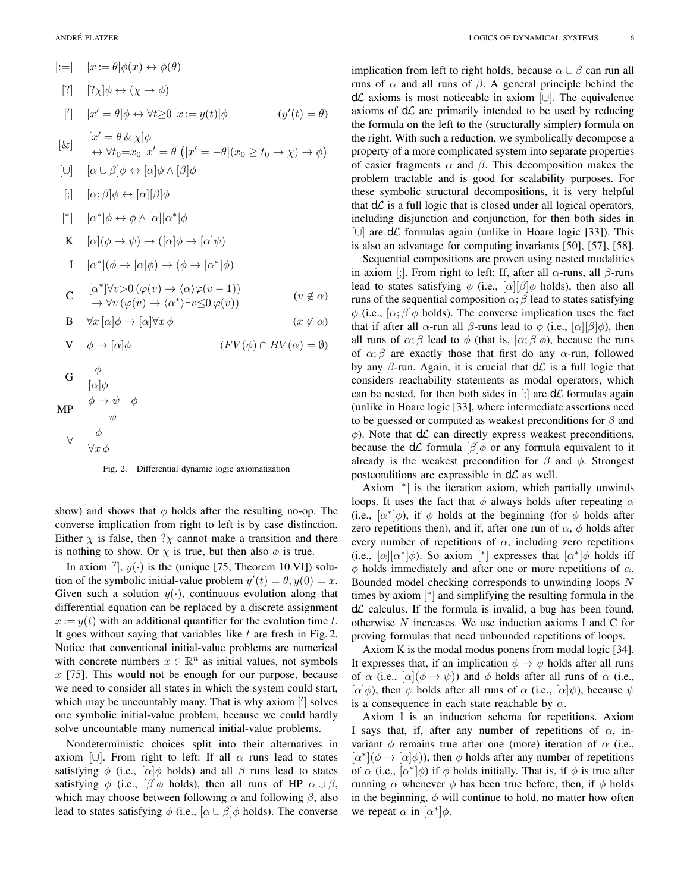$$
[:=] \quad [x := \theta] \phi(x) \leftrightarrow \phi(\theta)
$$
\n
$$
[?] \quad [? \chi] \phi \leftrightarrow (\chi \rightarrow \phi)
$$
\n
$$
[r] \quad [x' = \theta] \phi \leftrightarrow \forall t \ge 0 \ [x := y(t)] \phi \qquad (y'(t) = \theta)
$$
\n
$$
[x' = \theta \& \chi] \phi
$$
\n
$$
\leftrightarrow \forall t_0 = x_0 \ [x' = \theta] \big( [x' = -\theta] (x_0 \ge t_0 \rightarrow \chi) \rightarrow \phi \big)
$$
\n
$$
[ \cup ] \quad [\alpha \cup \beta] \phi \leftrightarrow [\alpha] \phi \land [\beta] \phi
$$
\n
$$
[ \cdot ] \quad [\alpha; \beta] \phi \leftrightarrow [\alpha] [\beta] \phi
$$
\n
$$
[ * ] \quad [\alpha^*] \phi \leftrightarrow \phi \land [\alpha] [\alpha^*] \phi
$$
\n
$$
K \quad [\alpha] (\phi \rightarrow \psi) \rightarrow ([\alpha] \phi \rightarrow [\alpha] \psi)
$$
\n
$$
I \quad [\alpha^*] (\phi \rightarrow [\alpha] \phi) \rightarrow (\phi \rightarrow [\alpha^*] \phi)
$$
\n
$$
C \quad [\alpha^*] \forall \nu > 0 \ (\varphi(\nu) \rightarrow \langle \alpha \rangle \varphi(\nu - 1))
$$
\n
$$
\Rightarrow \forall \nu \ (\varphi(\nu) \rightarrow \langle \alpha^* \rangle \exists \nu \le 0 \ \varphi(\nu))
$$
\n
$$
B \quad \forall x [\alpha] \phi \rightarrow [\alpha] \forall x \phi \qquad (x \notin \alpha)
$$
\n
$$
V \quad \phi \rightarrow [\alpha] \phi
$$
\n
$$
H \quad \frac{\phi}{[\alpha] \phi}
$$
\n
$$
H \quad \frac{\phi \rightarrow \psi \quad \phi}{\psi}
$$

$$
\forall \quad \frac{\phi}{\forall x \, \phi}
$$

Fig. 2. Differential dynamic logic axiomatization

show) and shows that  $\phi$  holds after the resulting no-op. The converse implication from right to left is by case distinction. Either  $\chi$  is false, then  $\gamma \chi$  cannot make a transition and there is nothing to show. Or  $\chi$  is true, but then also  $\phi$  is true.

In axiom ['],  $y(\cdot)$  is the (unique [75, Theorem 10.VI]) solution of the symbolic initial-value problem  $y'(t) = \theta, y(0) = x$ . Given such a solution  $y(\cdot)$ , continuous evolution along that differential equation can be replaced by a discrete assignment  $x := y(t)$  with an additional quantifier for the evolution time t. It goes without saying that variables like  $t$  are fresh in Fig. 2. Notice that conventional initial-value problems are numerical with concrete numbers  $x \in \mathbb{R}^n$  as initial values, not symbols  $x$  [75]. This would not be enough for our purpose, because we need to consider all states in which the system could start, which may be uncountably many. That is why axiom  $\lbrack\prime\rbrack$  solves one symbolic initial-value problem, because we could hardly solve uncountable many numerical initial-value problems.

Nondeterministic choices split into their alternatives in axiom [∪]. From right to left: If all  $\alpha$  runs lead to states satisfying  $\phi$  (i.e.,  $\alpha$ ) $\phi$  holds) and all  $\beta$  runs lead to states satisfying  $\phi$  (i.e.,  $\beta | \phi$  holds), then all runs of HP  $\alpha \cup \beta$ , which may choose between following  $\alpha$  and following  $\beta$ , also lead to states satisfying  $\phi$  (i.e.,  $[\alpha \cup \beta] \phi$  holds). The converse

implication from left to right holds, because  $\alpha \cup \beta$  can run all runs of  $\alpha$  and all runs of  $\beta$ . A general principle behind the  $d\mathcal{L}$  axioms is most noticeable in axiom [∪]. The equivalence axioms of  $d\mathcal{L}$  are primarily intended to be used by reducing the formula on the left to the (structurally simpler) formula on the right. With such a reduction, we symbolically decompose a property of a more complicated system into separate properties of easier fragments  $\alpha$  and  $\beta$ . This decomposition makes the problem tractable and is good for scalability purposes. For these symbolic structural decompositions, it is very helpful that  $d\mathcal{L}$  is a full logic that is closed under all logical operators, including disjunction and conjunction, for then both sides in [∪] are dL formulas again (unlike in Hoare logic [33]). This is also an advantage for computing invariants [50], [57], [58].

Sequential compositions are proven using nested modalities in axiom [;]. From right to left: If, after all  $\alpha$ -runs, all  $\beta$ -runs lead to states satisfying  $\phi$  (i.e.,  $\alpha$ ][ $\beta$ ] $\phi$  holds), then also all runs of the sequential composition  $\alpha$ ;  $\beta$  lead to states satisfying  $\phi$  (i.e.,  $[\alpha;\beta]\phi$  holds). The converse implication uses the fact that if after all  $\alpha$ -run all  $\beta$ -runs lead to  $\phi$  (i.e.,  $[\alpha][\beta]\phi$ ), then all runs of  $\alpha$ ;  $\beta$  lead to  $\phi$  (that is,  $[\alpha; \beta] \phi$ ), because the runs of  $\alpha$ ;  $\beta$  are exactly those that first do any  $\alpha$ -run, followed by any  $\beta$ -run. Again, it is crucial that  $d\mathcal{L}$  is a full logic that considers reachability statements as modal operators, which can be nested, for then both sides in  $\left[\cdot\right]$  are  $d\mathcal{L}$  formulas again (unlike in Hoare logic [33], where intermediate assertions need to be guessed or computed as weakest preconditions for  $\beta$  and  $\phi$ ). Note that  $d\mathcal{L}$  can directly express weakest preconditions, because the  $d\mathcal{L}$  formula  $\beta$  or any formula equivalent to it already is the weakest precondition for  $\beta$  and  $\phi$ . Strongest postconditions are expressible in  $d\mathcal{L}$  as well.

Axiom [<sup>\*</sup>] is the iteration axiom, which partially unwinds loops. It uses the fact that  $\phi$  always holds after repeating  $\alpha$ (i.e.,  $[\alpha^*]\phi$ ), if  $\phi$  holds at the beginning (for  $\phi$  holds after zero repetitions then), and if, after one run of  $\alpha$ ,  $\phi$  holds after every number of repetitions of  $\alpha$ , including zero repetitions (i.e.,  $\lbrack \alpha \rbrack \lbrack \alpha^* \rbrack \phi$ ). So axiom  $\lbrack \rbrack^* \rbrack$  expresses that  $\lbrack \alpha^* \rbrack \phi$  holds iff  $\phi$  holds immediately and after one or more repetitions of  $\alpha$ . Bounded model checking corresponds to unwinding loops N times by axiom [ ∗ ] and simplifying the resulting formula in the  $d\mathcal{L}$  calculus. If the formula is invalid, a bug has been found, otherwise  $N$  increases. We use induction axioms I and C for proving formulas that need unbounded repetitions of loops.

Axiom K is the modal modus ponens from modal logic [34]. It expresses that, if an implication  $\phi \rightarrow \psi$  holds after all runs of  $\alpha$  (i.e.,  $[\alpha](\phi \rightarrow \psi)$ ) and  $\phi$  holds after all runs of  $\alpha$  (i.e.,  $[\alpha]\phi$ ), then  $\psi$  holds after all runs of  $\alpha$  (i.e.,  $[\alpha]\psi$ ), because  $\psi$ is a consequence in each state reachable by  $\alpha$ .

Axiom I is an induction schema for repetitions. Axiom I says that, if, after any number of repetitions of  $\alpha$ , invariant  $\phi$  remains true after one (more) iteration of  $\alpha$  (i.e.,  $[\alpha^*](\phi \rightarrow [\alpha]\phi)$ , then  $\phi$  holds after any number of repetitions of  $\alpha$  (i.e.,  $[\alpha^*]\phi$ ) if  $\phi$  holds initially. That is, if  $\phi$  is true after running  $\alpha$  whenever  $\phi$  has been true before, then, if  $\phi$  holds in the beginning,  $\phi$  will continue to hold, no matter how often we repeat  $\alpha$  in  $[\alpha^*]\phi$ .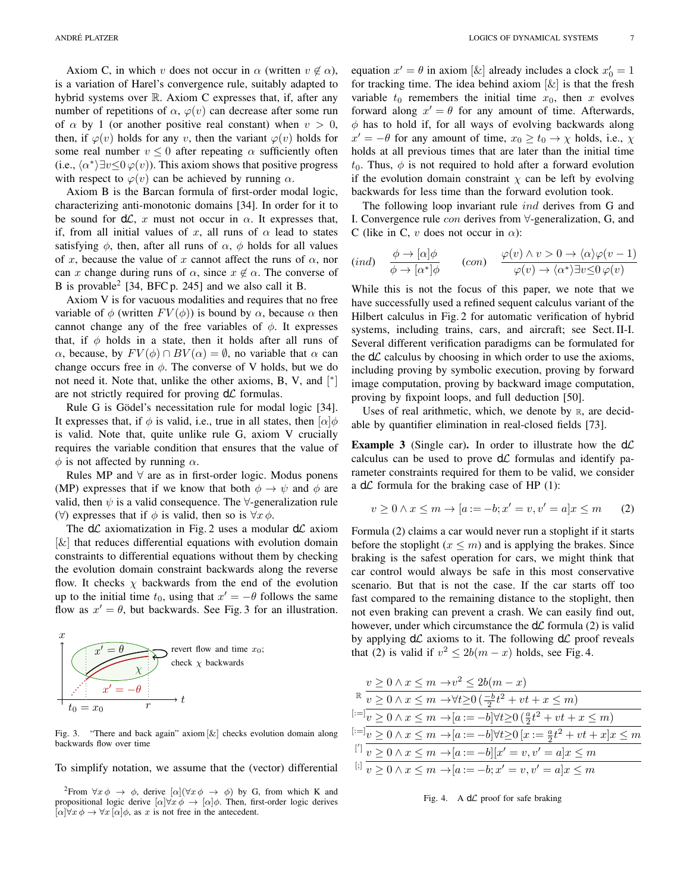Axiom C, in which v does not occur in  $\alpha$  (written  $v \notin \alpha$ ), is a variation of Harel's convergence rule, suitably adapted to hybrid systems over R. Axiom C expresses that, if, after any number of repetitions of  $\alpha$ ,  $\varphi(v)$  can decrease after some run of  $\alpha$  by 1 (or another positive real constant) when  $v > 0$ , then, if  $\varphi(v)$  holds for any v, then the variant  $\varphi(v)$  holds for some real number  $v \leq 0$  after repeating  $\alpha$  sufficiently often (i.e.,  $\langle \alpha^* \rangle \exists v \leq 0 \varphi(v)$ ). This axiom shows that positive progress with respect to  $\varphi(v)$  can be achieved by running  $\alpha$ .

Axiom B is the Barcan formula of first-order modal logic, characterizing anti-monotonic domains [34]. In order for it to be sound for  $d\mathcal{L}$ , x must not occur in  $\alpha$ . It expresses that, if, from all initial values of x, all runs of  $\alpha$  lead to states satisfying  $\phi$ , then, after all runs of  $\alpha$ ,  $\phi$  holds for all values of x, because the value of x cannot affect the runs of  $\alpha$ , nor can x change during runs of  $\alpha$ , since  $x \notin \alpha$ . The converse of B is provable<sup>2</sup> [34, BFC p. 245] and we also call it B.

Axiom V is for vacuous modalities and requires that no free variable of  $\phi$  (written  $FV(\phi)$ ) is bound by  $\alpha$ , because  $\alpha$  then cannot change any of the free variables of  $\phi$ . It expresses that, if  $\phi$  holds in a state, then it holds after all runs of  $\alpha$ , because, by  $FV(\phi) \cap BV(\alpha) = \emptyset$ , no variable that  $\alpha$  can change occurs free in  $\phi$ . The converse of V holds, but we do not need it. Note that, unlike the other axioms, B, V, and [\*] are not strictly required for proving  $d\mathcal{L}$  formulas.

Rule G is Gödel's necessitation rule for modal logic [34]. It expresses that, if  $\phi$  is valid, i.e., true in all states, then  $\alpha | \phi$ is valid. Note that, quite unlike rule G, axiom V crucially requires the variable condition that ensures that the value of  $\phi$  is not affected by running  $\alpha$ .

Rules MP and  $\forall$  are as in first-order logic. Modus ponens (MP) expresses that if we know that both  $\phi \rightarrow \psi$  and  $\phi$  are valid, then  $\psi$  is a valid consequence. The  $\forall$ -generalization rule ( $\forall$ ) expresses that if  $\phi$  is valid, then so is  $\forall x \phi$ .

The  $d\mathcal{L}$  axiomatization in Fig. 2 uses a modular  $d\mathcal{L}$  axiom  $[\&]$  that reduces differential equations with evolution domain constraints to differential equations without them by checking the evolution domain constraint backwards along the reverse flow. It checks  $\chi$  backwards from the end of the evolution up to the initial time  $t_0$ , using that  $x' = -\theta$  follows the same flow as  $x' = \theta$ , but backwards. See Fig. 3 for an illustration.



Fig. 3. "There and back again" axiom [&] checks evolution domain along backwards flow over time

To simplify notation, we assume that the (vector) differential

<sup>2</sup>From  $\forall x \phi \rightarrow \phi$ , derive  $[\alpha](\forall x \phi \rightarrow \phi)$  by G, from which K and propositional logic derive  $[\alpha]\forall x \phi \rightarrow [\alpha]\phi$ . Then, first-order logic derives  $[\alpha]\forall x \phi \rightarrow \forall x [\alpha]\phi$ , as x is not free in the antecedent.

equation  $x' = \theta$  in axiom [ $\&$ ] already includes a clock  $x'_0 = 1$ for tracking time. The idea behind axiom  $[\&]$  is that the fresh variable  $t_0$  remembers the initial time  $x_0$ , then x evolves forward along  $x' = \theta$  for any amount of time. Afterwards,  $\phi$  has to hold if, for all ways of evolving backwards along  $x' = -\theta$  for any amount of time,  $x_0 \ge t_0 \to \chi$  holds, i.e.,  $\chi$ holds at all previous times that are later than the initial time  $t_0$ . Thus,  $\phi$  is not required to hold after a forward evolution if the evolution domain constraint  $\chi$  can be left by evolving backwards for less time than the forward evolution took.

The following loop invariant rule *ind* derives from G and I. Convergence rule con derives from ∀-generalization, G, and C (like in C, v does not occur in  $\alpha$ ):

$$
(ind) \quad \frac{\phi \to [\alpha]\phi}{\phi \to [\alpha^*]\phi} \qquad (con) \quad \frac{\varphi(v) \land v > 0 \to \langle \alpha \rangle \varphi(v-1)}{\varphi(v) \to \langle \alpha^* \rangle \exists v \le 0 \, \varphi(v)}
$$

While this is not the focus of this paper, we note that we have successfully used a refined sequent calculus variant of the Hilbert calculus in Fig. 2 for automatic verification of hybrid systems, including trains, cars, and aircraft; see Sect. II-I. Several different verification paradigms can be formulated for the  $d\mathcal{L}$  calculus by choosing in which order to use the axioms, including proving by symbolic execution, proving by forward image computation, proving by backward image computation, proving by fixpoint loops, and full deduction [50].

Uses of real arithmetic, which, we denote by  $\mathbb{R}$ , are decidable by quantifier elimination in real-closed fields [73].

**Example 3** (Single car). In order to illustrate how the  $d\mathcal{L}$ calculus can be used to prove  $d\mathcal{L}$  formulas and identify parameter constraints required for them to be valid, we consider a  $d\mathcal{L}$  formula for the braking case of HP (1):

$$
v \ge 0 \land x \le m \to [a := -b; x' = v, v' = a]x \le m \qquad (2)
$$

Formula (2) claims a car would never run a stoplight if it starts before the stoplight  $(x \leq m)$  and is applying the brakes. Since braking is the safest operation for cars, we might think that car control would always be safe in this most conservative scenario. But that is not the case. If the car starts off too fast compared to the remaining distance to the stoplight, then not even braking can prevent a crash. We can easily find out, however, under which circumstance the  $d\mathcal{L}$  formula (2) is valid by applying  $d\mathcal{L}$  axioms to it. The following  $d\mathcal{L}$  proof reveals that (2) is valid if  $v^2 \le 2b(m-x)$  holds, see Fig. 4.

| $v \geq 0 \wedge x \leq m \rightarrow v^2 \leq 2b(m-x)$                                                              |
|----------------------------------------------------------------------------------------------------------------------|
| $\mathbb{R}$ $v \geq 0 \wedge x \leq m \rightarrow \forall t \geq 0 \left( \frac{-b}{2} t^2 + vt + x \leq m \right)$ |
| $[:=]_v \geq 0 \wedge x \leq m \rightarrow [a:=-b] \forall t \geq 0 \left(\frac{a}{2}t^2 + vt + x \leq m\right)$     |
| $x^{[:=]}v \ge 0 \wedge x \le m \to [a := -b] \forall t \ge 0 \ [x := \frac{a}{2}t^2 + vt + x]x \le m$               |
| <sup>[']</sup> $v \ge 0 \wedge x \le m \to [a := -b][x' = v, v' = a]x \le m$                                         |
| $\Box v \geq 0 \land x \leq m \to [a := -b; x' = v, v' = a]x \leq m$                                                 |
|                                                                                                                      |

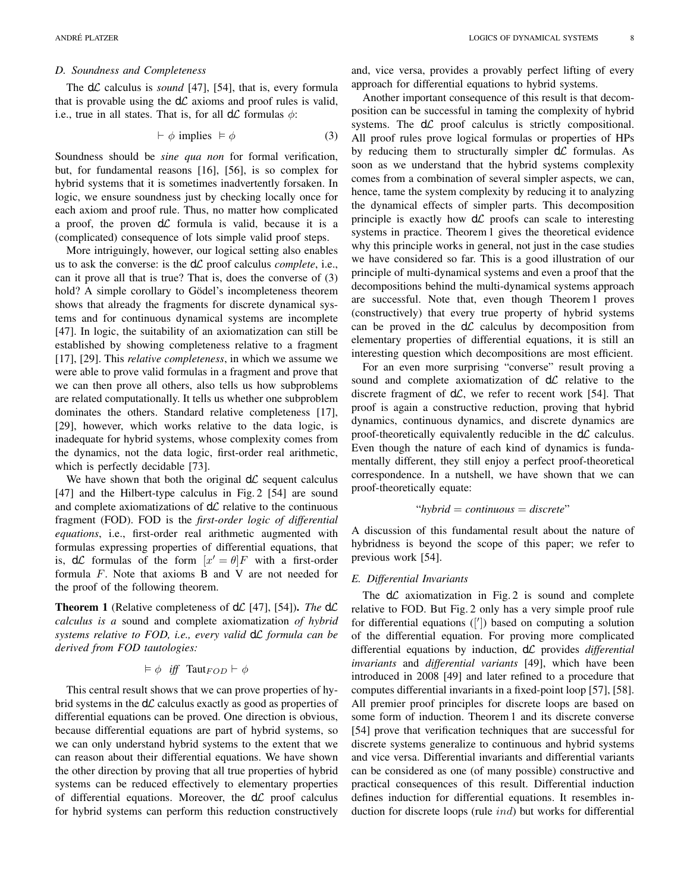#### *D. Soundness and Completeness*

The  $d\mathcal{L}$  calculus is *sound* [47], [54], that is, every formula that is provable using the  $d\mathcal{L}$  axioms and proof rules is valid, i.e., true in all states. That is, for all  $d\mathcal{L}$  formulas  $\phi$ :

$$
\vdash \phi \text{ implies } \models \phi \tag{3}
$$

Soundness should be *sine qua non* for formal verification, but, for fundamental reasons [16], [56], is so complex for hybrid systems that it is sometimes inadvertently forsaken. In logic, we ensure soundness just by checking locally once for each axiom and proof rule. Thus, no matter how complicated a proof, the proven  $d\mathcal{L}$  formula is valid, because it is a (complicated) consequence of lots simple valid proof steps.

More intriguingly, however, our logical setting also enables us to ask the converse: is the  $d\mathcal{L}$  proof calculus *complete*, i.e., can it prove all that is true? That is, does the converse of (3) hold? A simple corollary to Gödel's incompleteness theorem shows that already the fragments for discrete dynamical systems and for continuous dynamical systems are incomplete [47]. In logic, the suitability of an axiomatization can still be established by showing completeness relative to a fragment [17], [29]. This *relative completeness*, in which we assume we were able to prove valid formulas in a fragment and prove that we can then prove all others, also tells us how subproblems are related computationally. It tells us whether one subproblem dominates the others. Standard relative completeness [17], [29], however, which works relative to the data logic, is inadequate for hybrid systems, whose complexity comes from the dynamics, not the data logic, first-order real arithmetic, which is perfectly decidable [73].

We have shown that both the original  $d\mathcal{L}$  sequent calculus [47] and the Hilbert-type calculus in Fig. 2 [54] are sound and complete axiomatizations of  $d\mathcal{L}$  relative to the continuous fragment (FOD). FOD is the *first-order logic of differential equations*, i.e., first-order real arithmetic augmented with formulas expressing properties of differential equations, that is,  $d\mathcal{L}$  formulas of the form  $[x' = \theta]F$  with a first-order formula F. Note that axioms B and V are not needed for the proof of the following theorem.

**Theorem 1** (Relative completeness of  $d\mathcal{L}$  [47], [54]). *The*  $d\mathcal{L}$ *calculus is a* sound and complete axiomatization *of hybrid systems relative to FOD, i.e., every valid* dL *formula can be derived from FOD tautologies:*

$$
\vDash \phi \ \ \textit{iff} \ \ \mathsf{Taut}_{FOD} \vdash \phi
$$

This central result shows that we can prove properties of hybrid systems in the  $d\mathcal{L}$  calculus exactly as good as properties of differential equations can be proved. One direction is obvious, because differential equations are part of hybrid systems, so we can only understand hybrid systems to the extent that we can reason about their differential equations. We have shown the other direction by proving that all true properties of hybrid systems can be reduced effectively to elementary properties of differential equations. Moreover, the  $d\mathcal{L}$  proof calculus for hybrid systems can perform this reduction constructively

and, vice versa, provides a provably perfect lifting of every approach for differential equations to hybrid systems.

Another important consequence of this result is that decomposition can be successful in taming the complexity of hybrid systems. The  $d\mathcal{L}$  proof calculus is strictly compositional. All proof rules prove logical formulas or properties of HPs by reducing them to structurally simpler  $d\mathcal{L}$  formulas. As soon as we understand that the hybrid systems complexity comes from a combination of several simpler aspects, we can, hence, tame the system complexity by reducing it to analyzing the dynamical effects of simpler parts. This decomposition principle is exactly how  $d\mathcal{L}$  proofs can scale to interesting systems in practice. Theorem 1 gives the theoretical evidence why this principle works in general, not just in the case studies we have considered so far. This is a good illustration of our principle of multi-dynamical systems and even a proof that the decompositions behind the multi-dynamical systems approach are successful. Note that, even though Theorem 1 proves (constructively) that every true property of hybrid systems can be proved in the  $d\mathcal{L}$  calculus by decomposition from elementary properties of differential equations, it is still an interesting question which decompositions are most efficient.

For an even more surprising "converse" result proving a sound and complete axiomatization of  $d\mathcal{L}$  relative to the discrete fragment of  $d\mathcal{L}$ , we refer to recent work [54]. That proof is again a constructive reduction, proving that hybrid dynamics, continuous dynamics, and discrete dynamics are proof-theoretically equivalently reducible in the  $d\mathcal{L}$  calculus. Even though the nature of each kind of dynamics is fundamentally different, they still enjoy a perfect proof-theoretical correspondence. In a nutshell, we have shown that we can proof-theoretically equate:

"*hybrid* = *continuous* = *discrete*"

A discussion of this fundamental result about the nature of hybridness is beyond the scope of this paper; we refer to previous work [54].

#### *E. Differential Invariants*

The  $d\mathcal{L}$  axiomatization in Fig. 2 is sound and complete relative to FOD. But Fig. 2 only has a very simple proof rule for differential equations ([']) based on computing a solution of the differential equation. For proving more complicated differential equations by induction, dL provides *differential invariants* and *differential variants* [49], which have been introduced in 2008 [49] and later refined to a procedure that computes differential invariants in a fixed-point loop [57], [58]. All premier proof principles for discrete loops are based on some form of induction. Theorem 1 and its discrete converse [54] prove that verification techniques that are successful for discrete systems generalize to continuous and hybrid systems and vice versa. Differential invariants and differential variants can be considered as one (of many possible) constructive and practical consequences of this result. Differential induction defines induction for differential equations. It resembles induction for discrete loops (rule ind) but works for differential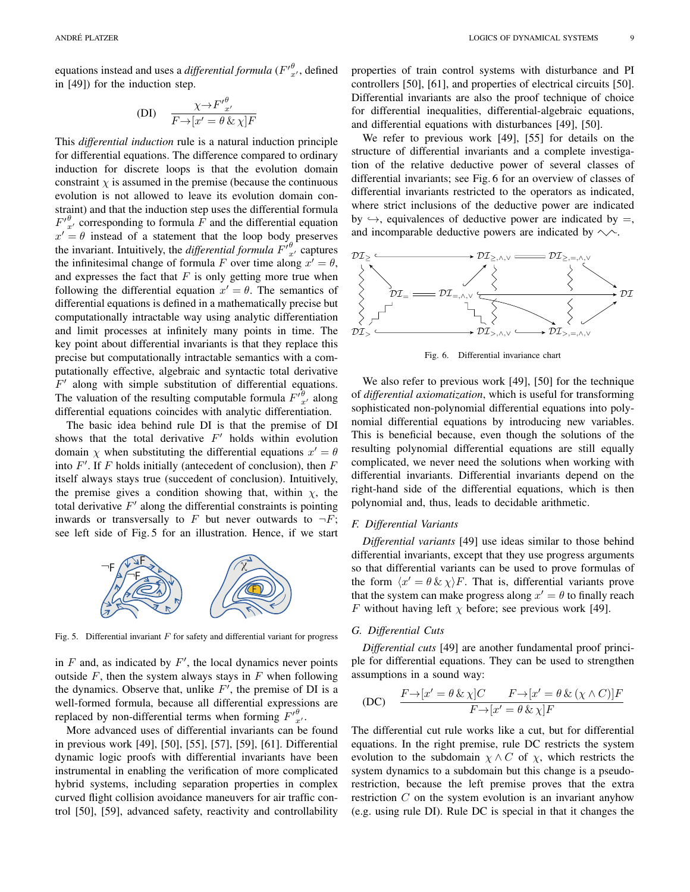equations instead and uses a *differential formula*  $(F'^{\theta}_{x'},$  defined in [49]) for the induction step.

$$
(DI) \quad \frac{\chi \to {F'}^\theta_{x'}}{F \to [x' = \theta \& \chi]F}
$$

This *differential induction* rule is a natural induction principle for differential equations. The difference compared to ordinary induction for discrete loops is that the evolution domain constraint  $\chi$  is assumed in the premise (because the continuous evolution is not allowed to leave its evolution domain constraint) and that the induction step uses the differential formula  $F'_{x'}^{\theta}$  corresponding to formula  $\overline{F}$  and the differential equation  $x' = \theta$  instead of a statement that the loop body preserves the invariant. Intuitively, the *differential formula*  $F'_{x'}^{\theta}$  captures the infinitesimal change of formula F over time along  $x' = \theta$ , and expresses the fact that  $F$  is only getting more true when following the differential equation  $x' = \theta$ . The semantics of differential equations is defined in a mathematically precise but computationally intractable way using analytic differentiation and limit processes at infinitely many points in time. The key point about differential invariants is that they replace this precise but computationally intractable semantics with a computationally effective, algebraic and syntactic total derivative  $F'$  along with simple substitution of differential equations. The valuation of the resulting computable formula  $F_{x}^{\hat{\theta}}$  along differential equations coincides with analytic differentiation.

The basic idea behind rule DI is that the premise of DI shows that the total derivative  $F'$  holds within evolution domain  $\chi$  when substituting the differential equations  $x' = \theta$ into  $F'$ . If F holds initially (antecedent of conclusion), then F itself always stays true (succedent of conclusion). Intuitively, the premise gives a condition showing that, within  $\chi$ , the total derivative  $F'$  along the differential constraints is pointing inwards or transversally to F but never outwards to  $\neg F$ ; see left side of Fig. 5 for an illustration. Hence, if we start



Fig. 5. Differential invariant  $F$  for safety and differential variant for progress

in  $F$  and, as indicated by  $F'$ , the local dynamics never points outside  $F$ , then the system always stays in  $F$  when following the dynamics. Observe that, unlike  $F'$ , the premise of DI is a well-formed formula, because all differential expressions are replaced by non-differential terms when forming  $F'_{x'}^{\theta}$ .

More advanced uses of differential invariants can be found in previous work [49], [50], [55], [57], [59], [61]. Differential dynamic logic proofs with differential invariants have been instrumental in enabling the verification of more complicated hybrid systems, including separation properties in complex curved flight collision avoidance maneuvers for air traffic control [50], [59], advanced safety, reactivity and controllability properties of train control systems with disturbance and PI controllers [50], [61], and properties of electrical circuits [50]. Differential invariants are also the proof technique of choice for differential inequalities, differential-algebraic equations, and differential equations with disturbances [49], [50].

We refer to previous work [49], [55] for details on the structure of differential invariants and a complete investigation of the relative deductive power of several classes of differential invariants; see Fig. 6 for an overview of classes of differential invariants restricted to the operators as indicated, where strict inclusions of the deductive power are indicated by  $\leftrightarrow$ , equivalences of deductive power are indicated by =, and incomparable deductive powers are indicated by  $\sim$ .



Fig. 6. Differential invariance chart

We also refer to previous work [49], [50] for the technique of *differential axiomatization*, which is useful for transforming sophisticated non-polynomial differential equations into polynomial differential equations by introducing new variables. This is beneficial because, even though the solutions of the resulting polynomial differential equations are still equally complicated, we never need the solutions when working with differential invariants. Differential invariants depend on the right-hand side of the differential equations, which is then polynomial and, thus, leads to decidable arithmetic.

#### *F. Differential Variants*

*Differential variants* [49] use ideas similar to those behind differential invariants, except that they use progress arguments so that differential variants can be used to prove formulas of the form  $\langle x' = \theta \& \chi \rangle F$ . That is, differential variants prove that the system can make progress along  $x' = \theta$  to finally reach F without having left  $\chi$  before; see previous work [49].

## *G. Differential Cuts*

*Differential cuts* [49] are another fundamental proof principle for differential equations. They can be used to strengthen assumptions in a sound way:

(DC) 
$$
\frac{F \rightarrow [x' = \theta \& \chi]C \qquad F \rightarrow [x' = \theta \& (\chi \wedge C)]F}{F \rightarrow [x' = \theta \& \chi]F}
$$

The differential cut rule works like a cut, but for differential equations. In the right premise, rule DC restricts the system evolution to the subdomain  $\chi \wedge C$  of  $\chi$ , which restricts the system dynamics to a subdomain but this change is a pseudorestriction, because the left premise proves that the extra restriction  $C$  on the system evolution is an invariant anyhow (e.g. using rule DI). Rule DC is special in that it changes the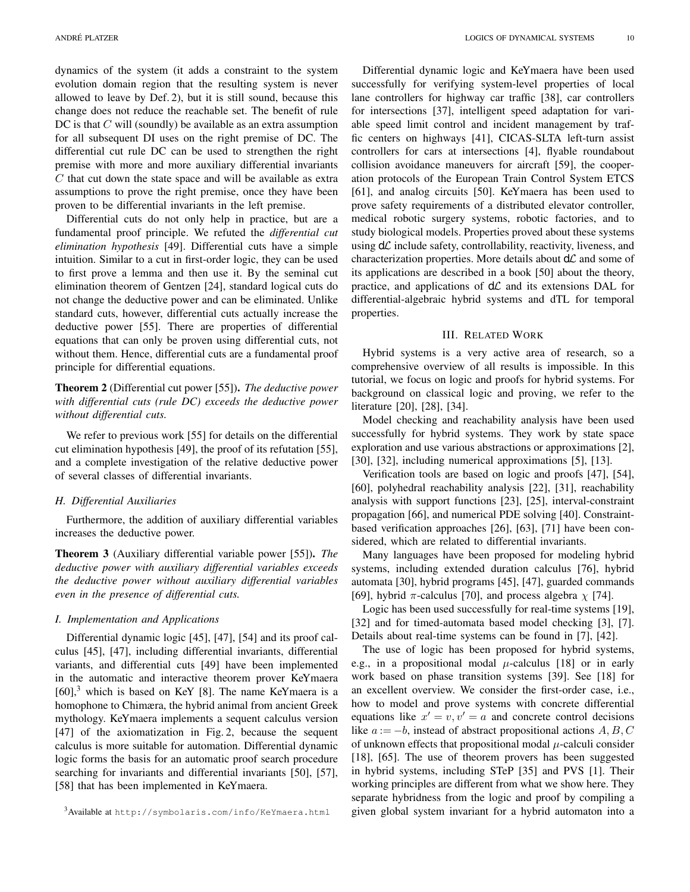dynamics of the system (it adds a constraint to the system evolution domain region that the resulting system is never allowed to leave by Def. 2), but it is still sound, because this change does not reduce the reachable set. The benefit of rule DC is that  $C$  will (soundly) be available as an extra assumption for all subsequent DI uses on the right premise of DC. The differential cut rule DC can be used to strengthen the right premise with more and more auxiliary differential invariants  $C$  that cut down the state space and will be available as extra assumptions to prove the right premise, once they have been proven to be differential invariants in the left premise.

Differential cuts do not only help in practice, but are a fundamental proof principle. We refuted the *differential cut elimination hypothesis* [49]. Differential cuts have a simple intuition. Similar to a cut in first-order logic, they can be used to first prove a lemma and then use it. By the seminal cut elimination theorem of Gentzen [24], standard logical cuts do not change the deductive power and can be eliminated. Unlike standard cuts, however, differential cuts actually increase the deductive power [55]. There are properties of differential equations that can only be proven using differential cuts, not without them. Hence, differential cuts are a fundamental proof principle for differential equations.

# Theorem 2 (Differential cut power [55]). *The deductive power with differential cuts (rule DC) exceeds the deductive power without differential cuts.*

We refer to previous work [55] for details on the differential cut elimination hypothesis [49], the proof of its refutation [55], and a complete investigation of the relative deductive power of several classes of differential invariants.

#### *H. Differential Auxiliaries*

Furthermore, the addition of auxiliary differential variables increases the deductive power.

Theorem 3 (Auxiliary differential variable power [55]). *The deductive power with auxiliary differential variables exceeds the deductive power without auxiliary differential variables even in the presence of differential cuts.*

## *I. Implementation and Applications*

Differential dynamic logic [45], [47], [54] and its proof calculus [45], [47], including differential invariants, differential variants, and differential cuts [49] have been implemented in the automatic and interactive theorem prover KeYmaera  $[60]$ <sup>3</sup> which is based on KeY [8]. The name KeYmaera is a homophone to Chimæra, the hybrid animal from ancient Greek mythology. KeYmaera implements a sequent calculus version [47] of the axiomatization in Fig. 2, because the sequent calculus is more suitable for automation. Differential dynamic logic forms the basis for an automatic proof search procedure searching for invariants and differential invariants [50], [57], [58] that has been implemented in KeYmaera.

Differential dynamic logic and KeYmaera have been used successfully for verifying system-level properties of local lane controllers for highway car traffic [38], car controllers for intersections [37], intelligent speed adaptation for variable speed limit control and incident management by traffic centers on highways [41], CICAS-SLTA left-turn assist controllers for cars at intersections [4], flyable roundabout collision avoidance maneuvers for aircraft [59], the cooperation protocols of the European Train Control System ETCS [61], and analog circuits [50]. KeYmaera has been used to prove safety requirements of a distributed elevator controller, medical robotic surgery systems, robotic factories, and to study biological models. Properties proved about these systems using  $d\mathcal{L}$  include safety, controllability, reactivity, liveness, and characterization properties. More details about  $d\mathcal{L}$  and some of its applications are described in a book [50] about the theory, practice, and applications of  $d\mathcal{L}$  and its extensions DAL for differential-algebraic hybrid systems and dTL for temporal properties.

#### III. RELATED WORK

Hybrid systems is a very active area of research, so a comprehensive overview of all results is impossible. In this tutorial, we focus on logic and proofs for hybrid systems. For background on classical logic and proving, we refer to the literature [20], [28], [34].

Model checking and reachability analysis have been used successfully for hybrid systems. They work by state space exploration and use various abstractions or approximations [2], [30], [32], including numerical approximations [5], [13].

Verification tools are based on logic and proofs [47], [54], [60], polyhedral reachability analysis [22], [31], reachability analysis with support functions [23], [25], interval-constraint propagation [66], and numerical PDE solving [40]. Constraintbased verification approaches [26], [63], [71] have been considered, which are related to differential invariants.

Many languages have been proposed for modeling hybrid systems, including extended duration calculus [76], hybrid automata [30], hybrid programs [45], [47], guarded commands [69], hybrid  $\pi$ -calculus [70], and process algebra  $\chi$  [74].

Logic has been used successfully for real-time systems [19], [32] and for timed-automata based model checking [3], [7]. Details about real-time systems can be found in [7], [42].

The use of logic has been proposed for hybrid systems, e.g., in a propositional modal  $\mu$ -calculus [18] or in early work based on phase transition systems [39]. See [18] for an excellent overview. We consider the first-order case, i.e., how to model and prove systems with concrete differential equations like  $x' = v, v' = a$  and concrete control decisions like  $a := -b$ , instead of abstract propositional actions  $A, B, C$ of unknown effects that propositional modal  $\mu$ -calculi consider [18], [65]. The use of theorem provers has been suggested in hybrid systems, including STeP [35] and PVS [1]. Their working principles are different from what we show here. They separate hybridness from the logic and proof by compiling a given global system invariant for a hybrid automaton into a

<sup>3</sup>Available at http://symbolaris.com/info/KeYmaera.html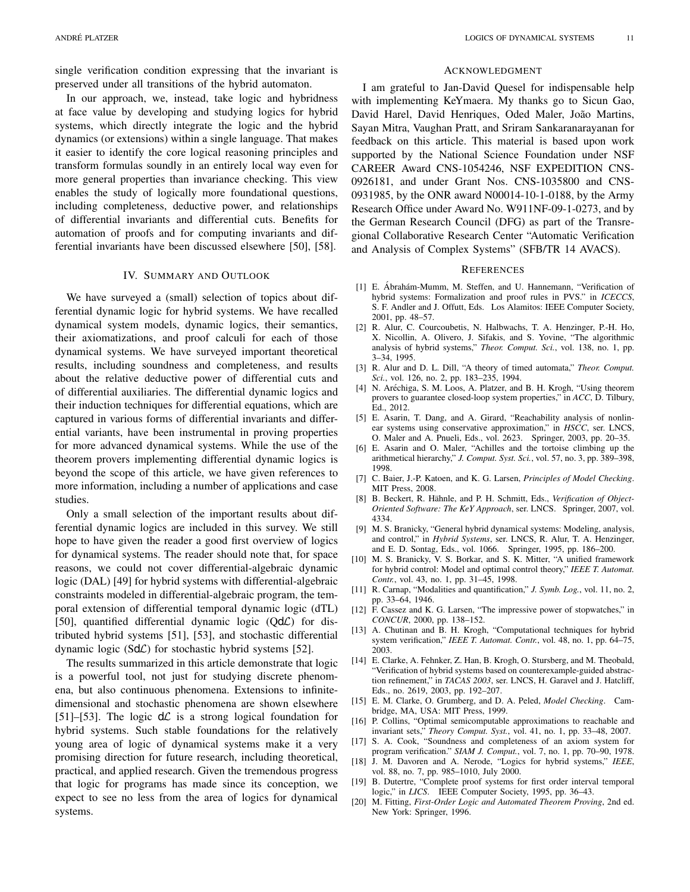single verification condition expressing that the invariant is preserved under all transitions of the hybrid automaton.

In our approach, we, instead, take logic and hybridness at face value by developing and studying logics for hybrid systems, which directly integrate the logic and the hybrid dynamics (or extensions) within a single language. That makes it easier to identify the core logical reasoning principles and transform formulas soundly in an entirely local way even for more general properties than invariance checking. This view enables the study of logically more foundational questions, including completeness, deductive power, and relationships of differential invariants and differential cuts. Benefits for automation of proofs and for computing invariants and differential invariants have been discussed elsewhere [50], [58].

#### IV. SUMMARY AND OUTLOOK

We have surveyed a (small) selection of topics about differential dynamic logic for hybrid systems. We have recalled dynamical system models, dynamic logics, their semantics, their axiomatizations, and proof calculi for each of those dynamical systems. We have surveyed important theoretical results, including soundness and completeness, and results about the relative deductive power of differential cuts and of differential auxiliaries. The differential dynamic logics and their induction techniques for differential equations, which are captured in various forms of differential invariants and differential variants, have been instrumental in proving properties for more advanced dynamical systems. While the use of the theorem provers implementing differential dynamic logics is beyond the scope of this article, we have given references to more information, including a number of applications and case studies.

Only a small selection of the important results about differential dynamic logics are included in this survey. We still hope to have given the reader a good first overview of logics for dynamical systems. The reader should note that, for space reasons, we could not cover differential-algebraic dynamic logic (DAL) [49] for hybrid systems with differential-algebraic constraints modeled in differential-algebraic program, the temporal extension of differential temporal dynamic logic (dTL) [50], quantified differential dynamic logic (QdL) for distributed hybrid systems [51], [53], and stochastic differential dynamic logic (SdC) for stochastic hybrid systems [52].

The results summarized in this article demonstrate that logic is a powerful tool, not just for studying discrete phenomena, but also continuous phenomena. Extensions to infinitedimensional and stochastic phenomena are shown elsewhere [51]–[53]. The logic  $d\mathcal{L}$  is a strong logical foundation for hybrid systems. Such stable foundations for the relatively young area of logic of dynamical systems make it a very promising direction for future research, including theoretical, practical, and applied research. Given the tremendous progress that logic for programs has made since its conception, we expect to see no less from the area of logics for dynamical systems.

#### ACKNOWLEDGMENT

I am grateful to Jan-David Quesel for indispensable help with implementing KeYmaera. My thanks go to Sicun Gao, David Harel, David Henriques, Oded Maler, João Martins, Sayan Mitra, Vaughan Pratt, and Sriram Sankaranarayanan for feedback on this article. This material is based upon work supported by the National Science Foundation under NSF CAREER Award CNS-1054246, NSF EXPEDITION CNS-0926181, and under Grant Nos. CNS-1035800 and CNS-0931985, by the ONR award N00014-10-1-0188, by the Army Research Office under Award No. W911NF-09-1-0273, and by the German Research Council (DFG) as part of the Transregional Collaborative Research Center "Automatic Verification and Analysis of Complex Systems" (SFB/TR 14 AVACS).

#### **REFERENCES**

- [1] E. Ábrahám-Mumm, M. Steffen, and U. Hannemann, "Verification of hybrid systems: Formalization and proof rules in PVS." in *ICECCS*, S. F. Andler and J. Offutt, Eds. Los Alamitos: IEEE Computer Society, 2001, pp. 48–57.
- [2] R. Alur, C. Courcoubetis, N. Halbwachs, T. A. Henzinger, P.-H. Ho, X. Nicollin, A. Olivero, J. Sifakis, and S. Yovine, "The algorithmic analysis of hybrid systems," *Theor. Comput. Sci.*, vol. 138, no. 1, pp. 3–34, 1995.
- [3] R. Alur and D. L. Dill, "A theory of timed automata," *Theor. Comput. Sci.*, vol. 126, no. 2, pp. 183–235, 1994.
- [4] N. Aréchiga, S. M. Loos, A. Platzer, and B. H. Krogh, "Using theorem provers to guarantee closed-loop system properties," in *ACC*, D. Tilbury, Ed., 2012.
- [5] E. Asarin, T. Dang, and A. Girard, "Reachability analysis of nonlinear systems using conservative approximation," in *HSCC*, ser. LNCS, O. Maler and A. Pnueli, Eds., vol. 2623. Springer, 2003, pp. 20–35.
- [6] E. Asarin and O. Maler, "Achilles and the tortoise climbing up the arithmetical hierarchy," *J. Comput. Syst. Sci.*, vol. 57, no. 3, pp. 389–398, 1998.
- [7] C. Baier, J.-P. Katoen, and K. G. Larsen, *Principles of Model Checking*. MIT Press, 2008.
- [8] B. Beckert, R. Hähnle, and P. H. Schmitt, Eds., Verification of Object-*Oriented Software: The KeY Approach*, ser. LNCS. Springer, 2007, vol. 4334.
- [9] M. S. Branicky, "General hybrid dynamical systems: Modeling, analysis, and control," in *Hybrid Systems*, ser. LNCS, R. Alur, T. A. Henzinger, and E. D. Sontag, Eds., vol. 1066. Springer, 1995, pp. 186–200.
- [10] M. S. Branicky, V. S. Borkar, and S. K. Mitter, "A unified framework for hybrid control: Model and optimal control theory," *IEEE T. Automat. Contr.*, vol. 43, no. 1, pp. 31–45, 1998.
- [11] R. Carnap, "Modalities and quantification," *J. Symb. Log.*, vol. 11, no. 2, pp. 33–64, 1946.
- [12] F. Cassez and K. G. Larsen, "The impressive power of stopwatches," in *CONCUR*, 2000, pp. 138–152.
- [13] A. Chutinan and B. H. Krogh, "Computational techniques for hybrid system verification," *IEEE T. Automat. Contr.*, vol. 48, no. 1, pp. 64–75, 2003.
- [14] E. Clarke, A. Fehnker, Z. Han, B. Krogh, O. Stursberg, and M. Theobald, "Verification of hybrid systems based on counterexample-guided abstraction refinement," in *TACAS 2003*, ser. LNCS, H. Garavel and J. Hatcliff, Eds., no. 2619, 2003, pp. 192–207.
- [15] E. M. Clarke, O. Grumberg, and D. A. Peled, *Model Checking*. Cambridge, MA, USA: MIT Press, 1999.
- [16] P. Collins, "Optimal semicomputable approximations to reachable and invariant sets," *Theory Comput. Syst.*, vol. 41, no. 1, pp. 33–48, 2007.
- [17] S. A. Cook, "Soundness and completeness of an axiom system for program verification." *SIAM J. Comput.*, vol. 7, no. 1, pp. 70–90, 1978.
- [18] J. M. Davoren and A. Nerode, "Logics for hybrid systems," *IEEE*, vol. 88, no. 7, pp. 985–1010, July 2000.
- [19] B. Dutertre, "Complete proof systems for first order interval temporal logic," in *LICS*. IEEE Computer Society, 1995, pp. 36–43.
- [20] M. Fitting, *First-Order Logic and Automated Theorem Proving*, 2nd ed. New York: Springer, 1996.